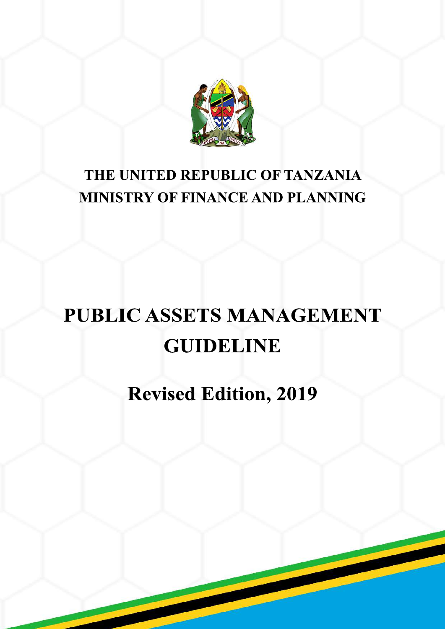

# **THE UNITED REPUBLIC OF TANZANIA MINISTRY OF FINANCE AND PLANNING**

# **PUBLIC ASSETS MANAGEMENT GUIDELINE**

# **Revised Edition, 2019**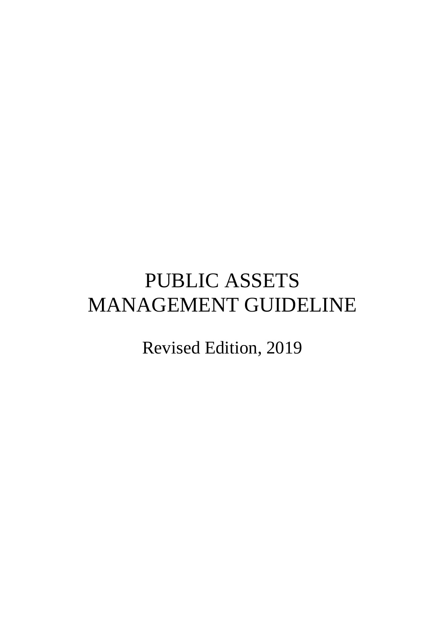# PUBLIC ASSETS MANAGEMENT GUIDELINE

Revised Edition, 2019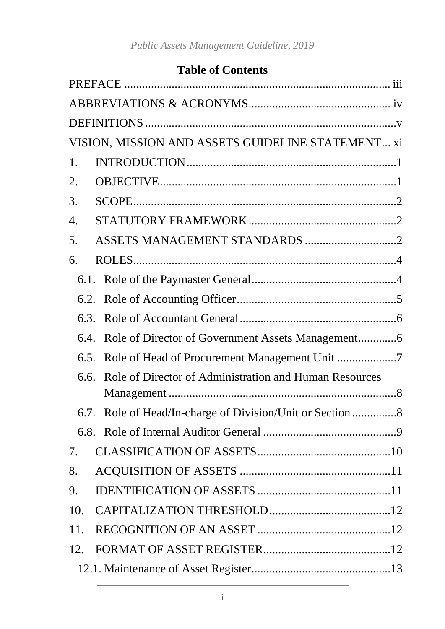#### **Table of Contents**

|      | VISION, MISSION AND ASSETS GUIDELINE STATEMENT xi           |
|------|-------------------------------------------------------------|
| 1.   |                                                             |
| 2.   |                                                             |
| 3.   |                                                             |
| 4.   |                                                             |
| 5.   | ASSETS MANAGEMENT STANDARDS 2                               |
| 6.   |                                                             |
|      |                                                             |
|      |                                                             |
| 6.3. |                                                             |
| 6.4. |                                                             |
| 6.5. |                                                             |
|      | 6.6. Role of Director of Administration and Human Resources |
|      | 6.7. Role of Head/In-charge of Division/Unit or Section 8   |
|      |                                                             |
| 7.   |                                                             |
| 8.   |                                                             |
| 9.   |                                                             |
| 10.  |                                                             |
| 11.  |                                                             |
| 12.  |                                                             |
|      |                                                             |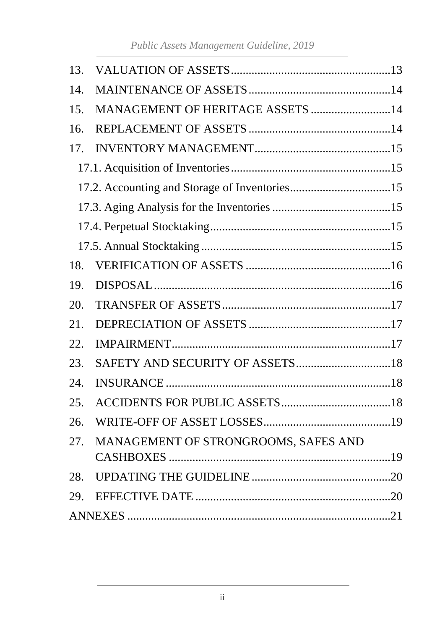| 13. |                                      |
|-----|--------------------------------------|
| 14. |                                      |
| 15. | MANAGEMENT OF HERITAGE ASSETS 14     |
| 16. |                                      |
| 17. |                                      |
|     |                                      |
|     |                                      |
|     |                                      |
|     |                                      |
|     |                                      |
| 18. |                                      |
| 19. |                                      |
| 20. |                                      |
| 21. |                                      |
| 22. |                                      |
| 23. |                                      |
| 24. |                                      |
| 25. |                                      |
| 26. |                                      |
| 27. | MANAGEMENT OF STRONGROOMS, SAFES AND |
|     |                                      |
| 28. |                                      |
| 29. |                                      |
|     |                                      |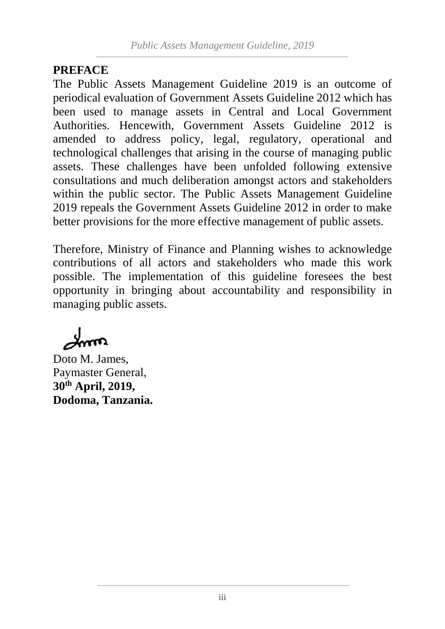#### <span id="page-4-0"></span>**PREFACE**

The Public Assets Management Guideline 2019 is an outcome of periodical evaluation of Government Assets Guideline 2012 which has been used to manage assets in Central and Local Government Authorities. Hencewith, Government Assets Guideline 2012 is amended to address policy, legal, regulatory, operational and technological challenges that arising in the course of managing public assets. These challenges have been unfolded following extensive consultations and much deliberation amongst actors and stakeholders within the public sector. The Public Assets Management Guideline 2019 repeals the Government Assets Guideline 2012 in order to make better provisions for the more effective management of public assets.

Therefore, Ministry of Finance and Planning wishes to acknowledge contributions of all actors and stakeholders who made this work possible. The implementation of this guideline foresees the best opportunity in bringing about accountability and responsibility in managing public assets.

Doto M. James, Paymaster General, **30th April, 2019, Dodoma, Tanzania.**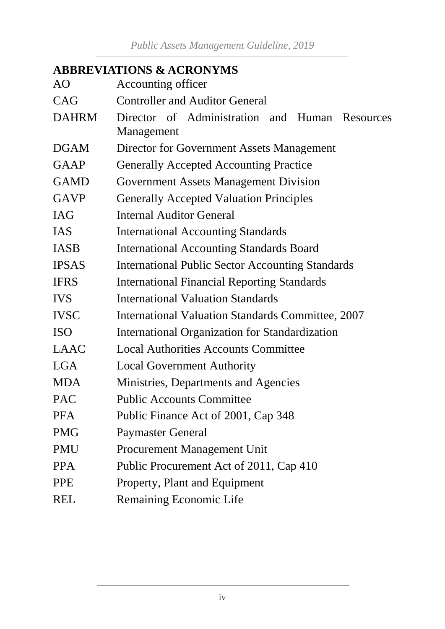# <span id="page-5-0"></span>**ABBREVIATIONS & ACRONYMS**

| AO           | Accounting officer                                      |  |  |  |  |  |  |  |  |  |
|--------------|---------------------------------------------------------|--|--|--|--|--|--|--|--|--|
| CAG          | <b>Controller and Auditor General</b>                   |  |  |  |  |  |  |  |  |  |
| <b>DAHRM</b> | Director of Administration and Human Resources          |  |  |  |  |  |  |  |  |  |
|              | Management                                              |  |  |  |  |  |  |  |  |  |
| <b>DGAM</b>  | Director for Government Assets Management               |  |  |  |  |  |  |  |  |  |
| <b>GAAP</b>  | <b>Generally Accepted Accounting Practice</b>           |  |  |  |  |  |  |  |  |  |
| <b>GAMD</b>  | <b>Government Assets Management Division</b>            |  |  |  |  |  |  |  |  |  |
| <b>GAVP</b>  | <b>Generally Accepted Valuation Principles</b>          |  |  |  |  |  |  |  |  |  |
| <b>IAG</b>   | <b>Internal Auditor General</b>                         |  |  |  |  |  |  |  |  |  |
| <b>IAS</b>   | <b>International Accounting Standards</b>               |  |  |  |  |  |  |  |  |  |
| <b>IASB</b>  | <b>International Accounting Standards Board</b>         |  |  |  |  |  |  |  |  |  |
| <b>IPSAS</b> | <b>International Public Sector Accounting Standards</b> |  |  |  |  |  |  |  |  |  |
| <b>IFRS</b>  | <b>International Financial Reporting Standards</b>      |  |  |  |  |  |  |  |  |  |
| <b>IVS</b>   | <b>International Valuation Standards</b>                |  |  |  |  |  |  |  |  |  |
| <b>IVSC</b>  | International Valuation Standards Committee, 2007       |  |  |  |  |  |  |  |  |  |
| <b>ISO</b>   | International Organization for Standardization          |  |  |  |  |  |  |  |  |  |
| <b>LAAC</b>  | <b>Local Authorities Accounts Committee</b>             |  |  |  |  |  |  |  |  |  |
| <b>LGA</b>   | <b>Local Government Authority</b>                       |  |  |  |  |  |  |  |  |  |
| <b>MDA</b>   | Ministries, Departments and Agencies                    |  |  |  |  |  |  |  |  |  |
| <b>PAC</b>   | <b>Public Accounts Committee</b>                        |  |  |  |  |  |  |  |  |  |
| PFA          | Public Finance Act of 2001, Cap 348                     |  |  |  |  |  |  |  |  |  |
| <b>PMG</b>   | <b>Paymaster General</b>                                |  |  |  |  |  |  |  |  |  |
| <b>PMU</b>   | <b>Procurement Management Unit</b>                      |  |  |  |  |  |  |  |  |  |
| <b>PPA</b>   | Public Procurement Act of 2011, Cap 410                 |  |  |  |  |  |  |  |  |  |
| <b>PPE</b>   | Property, Plant and Equipment                           |  |  |  |  |  |  |  |  |  |
| <b>REL</b>   | Remaining Economic Life                                 |  |  |  |  |  |  |  |  |  |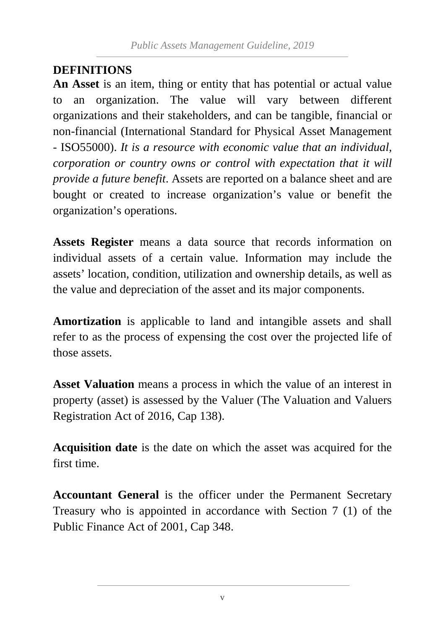#### <span id="page-6-0"></span>**DEFINITIONS**

**An Asset** is an item, thing or entity that has potential or actual value to an organization. The value will vary between different organizations and their stakeholders, and can be tangible, financial or non-financial (International Standard for Physical Asset Management - ISO55000). *It is a resource with economic value that an individual, corporation or country owns or control with expectation that it will provide a future benefit*. Assets are reported on a balance sheet and are bought or created to increase organization's value or benefit the organization's operations.

**Assets Register** means a data source that records information on individual assets of a certain value. Information may include the assets' location, condition, utilization and ownership details, as well as the value and depreciation of the asset and its major components.

**Amortization** is applicable to land and intangible assets and shall refer to as the process of expensing the cost over the projected life of those assets.

**Asset Valuation** means a process in which the value of an interest in property (asset) is assessed by the Valuer (The Valuation and Valuers Registration Act of 2016, Cap 138).

**Acquisition date** is the date on which the asset was acquired for the first time.

**Accountant General** is the officer under the Permanent Secretary Treasury who is appointed in accordance with Section 7 (1) of the Public Finance Act of 2001, Cap 348.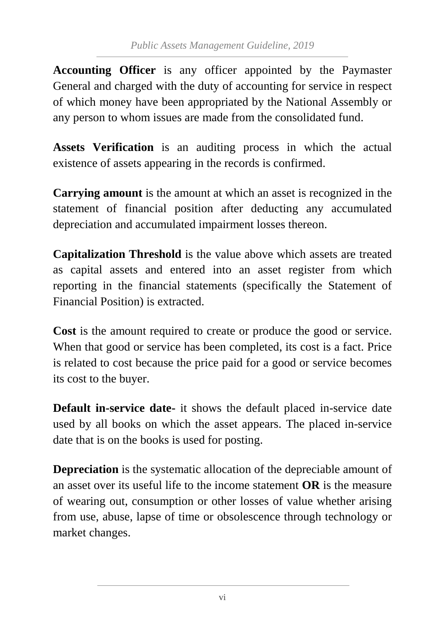**Accounting Officer** is any officer appointed by the Paymaster General and charged with the duty of accounting for service in respect of which money have been appropriated by the National Assembly or any person to whom issues are made from the consolidated fund.

**Assets Verification** is an auditing process in which the actual existence of assets appearing in the records is confirmed.

**Carrying amount** is the amount at which an asset is recognized in the statement of financial position after deducting any accumulated depreciation and accumulated impairment losses thereon.

**Capitalization Threshold** is the value above which assets are treated as capital assets and entered into an asset register from which reporting in the financial statements (specifically the Statement of Financial Position) is extracted.

**Cost** is the amount required to create or produce the good or service. When that good or service has been completed, its cost is a fact. Price is related to cost because the price paid for a good or service becomes its cost to the buyer.

**Default in-service date-** it shows the default placed in-service date used by all books on which the asset appears. The placed in-service date that is on the books is used for posting.

**Depreciation** is the systematic allocation of the depreciable amount of an asset over its useful life to the income statement **OR** is the measure of wearing out, consumption or other losses of value whether arising from use, abuse, lapse of time or obsolescence through technology or market changes.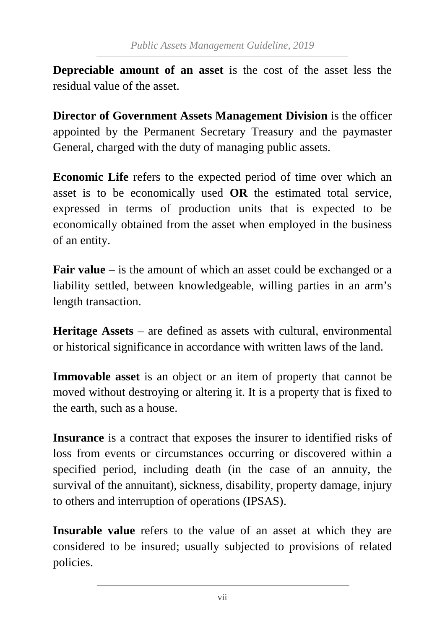**Depreciable amount of an asset** is the cost of the asset less the residual value of the asset.

**Director of Government Assets Management Division** is the officer appointed by the Permanent Secretary Treasury and the paymaster General, charged with the duty of managing public assets.

**Economic Life** refers to the expected period of time over which an asset is to be economically used **OR** the estimated total service, expressed in terms of production units that is expected to be economically obtained from the asset when employed in the business of an entity.

**Fair value** – is the amount of which an asset could be exchanged or a liability settled, between knowledgeable, willing parties in an arm's length transaction.

**Heritage Assets** – are defined as assets with cultural, environmental or historical significance in accordance with written laws of the land.

**Immovable asset** is an object or an item of property that cannot be moved without destroying or altering it. It is a property that is fixed to the earth, such as a house.

**Insurance** is a contract that exposes the insurer to identified risks of loss from events or circumstances occurring or discovered within a specified period, including death (in the case of an annuity, the survival of the annuitant), sickness, disability, property damage, injury to others and interruption of operations (IPSAS).

**Insurable value** refers to the value of an asset at which they are considered to be insured; usually subjected to provisions of related policies.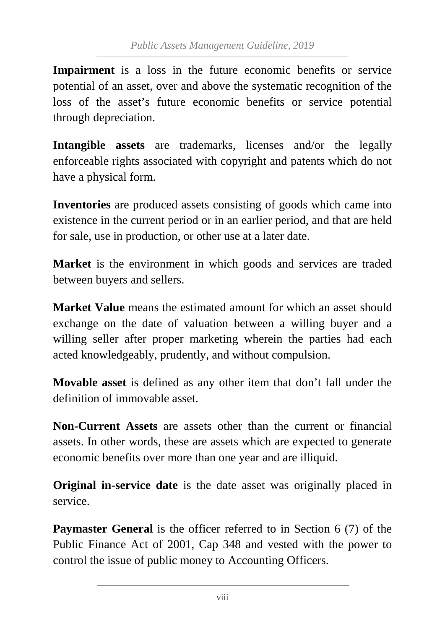**Impairment** is a loss in the future economic benefits or service potential of an asset, over and above the systematic recognition of the loss of the asset's future economic benefits or service potential through depreciation.

**Intangible assets** are trademarks, licenses and/or the legally enforceable rights associated with copyright and patents which do not have a physical form.

**Inventories** are produced assets consisting of goods which came into existence in the current period or in an earlier period, and that are held for sale, use in production, or other use at a later date.

**Market** is the environment in which goods and services are traded between buyers and sellers.

**Market Value** means the estimated amount for which an asset should exchange on the date of valuation between a willing buyer and a willing seller after proper marketing wherein the parties had each acted knowledgeably, prudently, and without compulsion.

**Movable asset** is defined as any other item that don't fall under the definition of immovable asset.

**Non-Current Assets** are assets other than the current or financial assets. In other words, these are assets which are expected to generate economic benefits over more than one year and are illiquid.

**Original in-service date** is the date asset was originally placed in service.

**Paymaster General** is the officer referred to in Section 6 (7) of the Public Finance Act of 2001, Cap 348 and vested with the power to control the issue of public money to Accounting Officers.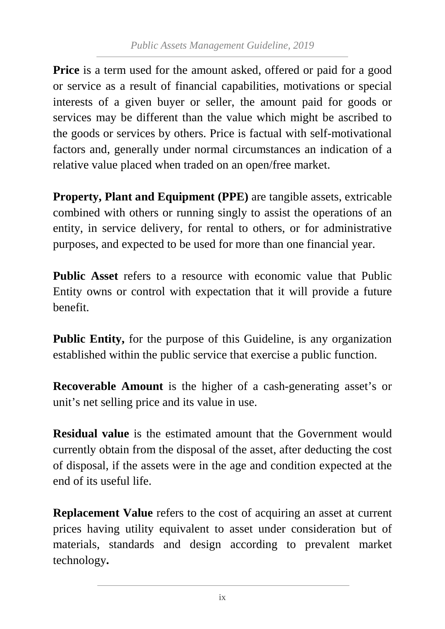**Price** is a term used for the amount asked, offered or paid for a good or service as a result of financial capabilities, motivations or special interests of a given buyer or seller, the amount paid for goods or services may be different than the value which might be ascribed to the goods or services by others. Price is factual with self-motivational factors and, generally under normal circumstances an indication of a relative value placed when traded on an open/free market.

**Property, Plant and Equipment (PPE)** are tangible assets, extricable combined with others or running singly to assist the operations of an entity, in service delivery, for rental to others, or for administrative purposes, and expected to be used for more than one financial year.

**Public Asset** refers to a resource with economic value that Public Entity owns or control with expectation that it will provide a future benefit.

**Public Entity,** for the purpose of this Guideline, is any organization established within the public service that exercise a public function.

**Recoverable Amount** is the higher of a cash-generating asset's or unit's net selling price and its value in use.

**Residual value** is the estimated amount that the Government would currently obtain from the disposal of the asset, after deducting the cost of disposal, if the assets were in the age and condition expected at the end of its useful life.

**Replacement Value** refers to the cost of acquiring an asset at current prices having utility equivalent to asset under consideration but of materials, standards and design according to prevalent market technology**.**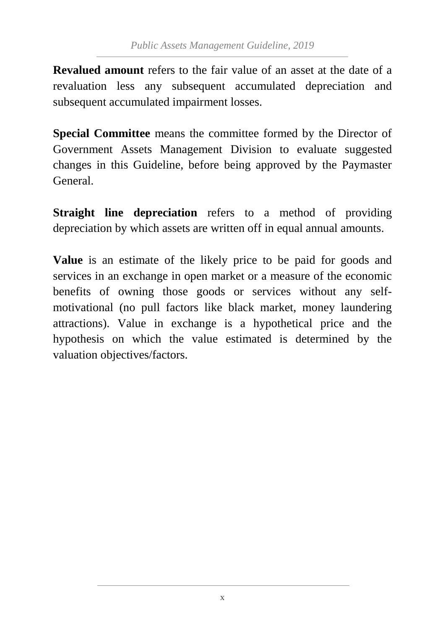**Revalued amount** refers to the fair value of an asset at the date of a revaluation less any subsequent accumulated depreciation and subsequent accumulated impairment losses.

**Special Committee** means the committee formed by the Director of Government Assets Management Division to evaluate suggested changes in this Guideline, before being approved by the Paymaster General.

**Straight line depreciation** refers to a method of providing depreciation by which assets are written off in equal annual amounts.

**Value** is an estimate of the likely price to be paid for goods and services in an exchange in open market or a measure of the economic benefits of owning those goods or services without any selfmotivational (no pull factors like black market, money laundering attractions). Value in exchange is a hypothetical price and the hypothesis on which the value estimated is determined by the valuation objectives/factors.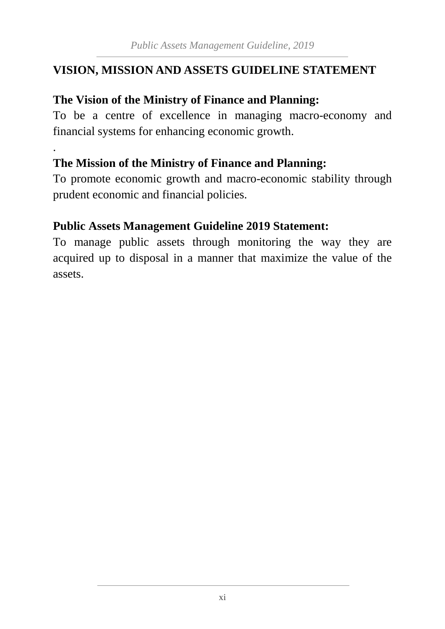#### <span id="page-12-0"></span>**VISION, MISSION AND ASSETS GUIDELINE STATEMENT**

#### **The Vision of the Ministry of Finance and Planning:**

To be a centre of excellence in managing macro-economy and financial systems for enhancing economic growth.

#### **The Mission of the Ministry of Finance and Planning:**

.

To promote economic growth and macro-economic stability through prudent economic and financial policies.

#### **Public Assets Management Guideline 2019 Statement:**

To manage public assets through monitoring the way they are acquired up to disposal in a manner that maximize the value of the assets.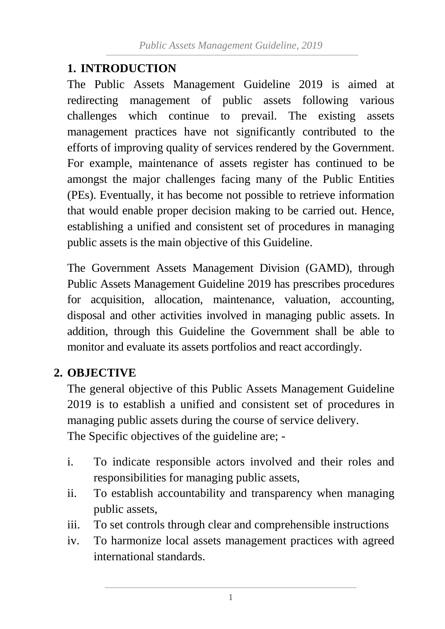#### <span id="page-13-0"></span>**1. INTRODUCTION**

The Public Assets Management Guideline 2019 is aimed at redirecting management of public assets following various challenges which continue to prevail. The existing assets management practices have not significantly contributed to the efforts of improving quality of services rendered by the Government. For example, maintenance of assets register has continued to be amongst the major challenges facing many of the Public Entities (PEs). Eventually, it has become not possible to retrieve information that would enable proper decision making to be carried out. Hence, establishing a unified and consistent set of procedures in managing public assets is the main objective of this Guideline.

The Government Assets Management Division (GAMD), through Public Assets Management Guideline 2019 has prescribes procedures for acquisition, allocation, maintenance, valuation, accounting, disposal and other activities involved in managing public assets. In addition, through this Guideline the Government shall be able to monitor and evaluate its assets portfolios and react accordingly.

## <span id="page-13-1"></span>**2. OBJECTIVE**

The general objective of this Public Assets Management Guideline 2019 is to establish a unified and consistent set of procedures in managing public assets during the course of service delivery. The Specific objectives of the guideline are; -

- i. To indicate responsible actors involved and their roles and responsibilities for managing public assets,
- ii. To establish accountability and transparency when managing public assets,
- iii. To set controls through clear and comprehensible instructions
- iv. To harmonize local assets management practices with agreed international standards.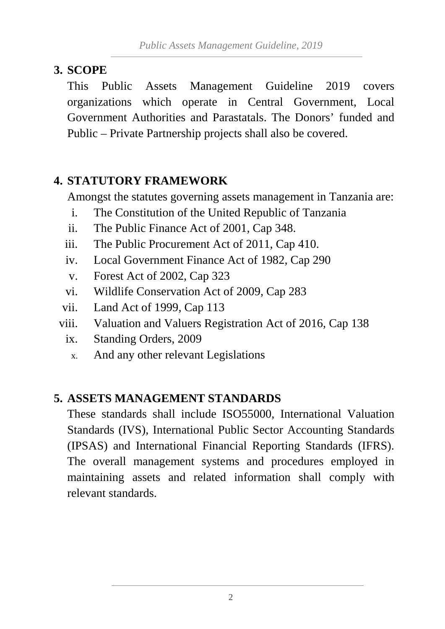#### <span id="page-14-0"></span>**3. SCOPE**

This Public Assets Management Guideline 2019 covers organizations which operate in Central Government, Local Government Authorities and Parastatals. The Donors' funded and Public – Private Partnership projects shall also be covered.

## <span id="page-14-1"></span>**4. STATUTORY FRAMEWORK**

Amongst the statutes governing assets management in Tanzania are:

- i. The Constitution of the United Republic of Tanzania
- ii. The Public Finance Act of 2001, Cap 348.
- iii. The Public Procurement Act of 2011, Cap 410.
- iv. Local Government Finance Act of 1982, Cap 290
- v. Forest Act of 2002, Cap 323
- vi. Wildlife Conservation Act of 2009, Cap 283
- vii. Land Act of 1999, Cap 113
- viii. Valuation and Valuers Registration Act of 2016, Cap 138
	- ix. Standing Orders, 2009
	- x. And any other relevant Legislations

#### <span id="page-14-2"></span>**5. ASSETS MANAGEMENT STANDARDS**

These standards shall include ISO55000, International Valuation Standards (IVS), International Public Sector Accounting Standards (IPSAS) and International Financial Reporting Standards (IFRS). The overall management systems and procedures employed in maintaining assets and related information shall comply with relevant standards.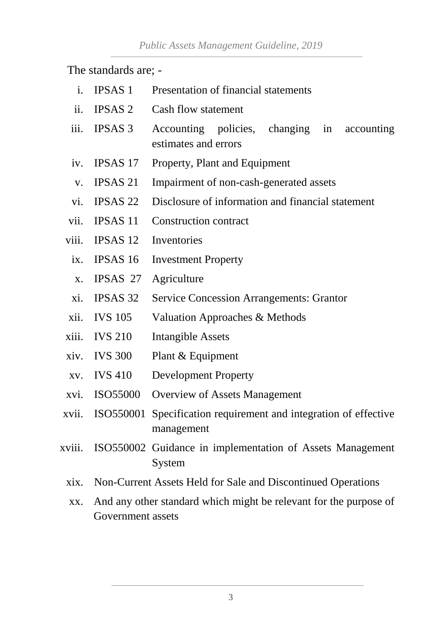The standards are; -

- i. IPSAS 1 Presentation of financial statements
- ii. IPSAS 2 Cash flow statement
- iii. IPSAS 3 Accounting policies, changing in accounting estimates and errors
- iv. IPSAS 17 Property, Plant and Equipment
- v. IPSAS 21 Impairment of non-cash-generated assets
- vi. IPSAS 22 Disclosure of information and financial statement
- vii. IPSAS 11 Construction contract
- viii. IPSAS 12 Inventories
	- ix. IPSAS 16 Investment Property
	- x. IPSAS 27 Agriculture
	- xi. IPSAS 32 Service Concession Arrangements: Grantor
- xii. IVS 105 Valuation Approaches & Methods
- xiii. IVS 210 Intangible Assets
- xiv. IVS 300 Plant & Equipment
- xv. IVS 410 Development Property
- xvi. ISO55000 Overview of Assets Management
- xvii. ISO550001 Specification requirement and integration of effective management
- xviii. ISO550002 Guidance in implementation of Assets Management System
	- xix. Non-Current Assets Held for Sale and Discontinued Operations
	- xx. And any other standard which might be relevant for the purpose of Government assets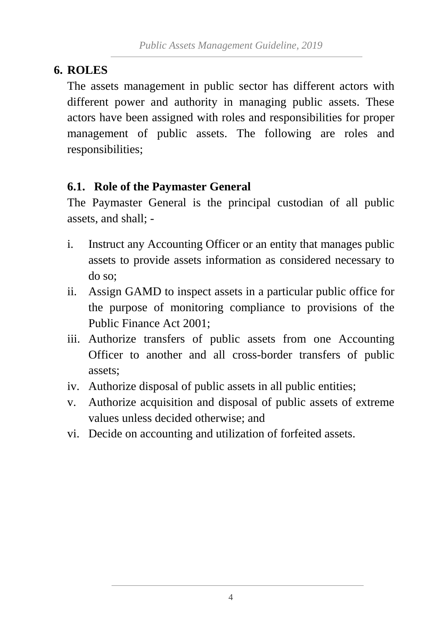#### <span id="page-16-0"></span>**6. ROLES**

The assets management in public sector has different actors with different power and authority in managing public assets. These actors have been assigned with roles and responsibilities for proper management of public assets. The following are roles and responsibilities;

#### <span id="page-16-1"></span>**6.1. Role of the Paymaster General**

The Paymaster General is the principal custodian of all public assets, and shall; -

- i. Instruct any Accounting Officer or an entity that manages public assets to provide assets information as considered necessary to do so;
- ii. Assign GAMD to inspect assets in a particular public office for the purpose of monitoring compliance to provisions of the Public Finance Act 2001;
- iii. Authorize transfers of public assets from one Accounting Officer to another and all cross-border transfers of public assets;
- iv. Authorize disposal of public assets in all public entities;
- v. Authorize acquisition and disposal of public assets of extreme values unless decided otherwise; and
- vi. Decide on accounting and utilization of forfeited assets.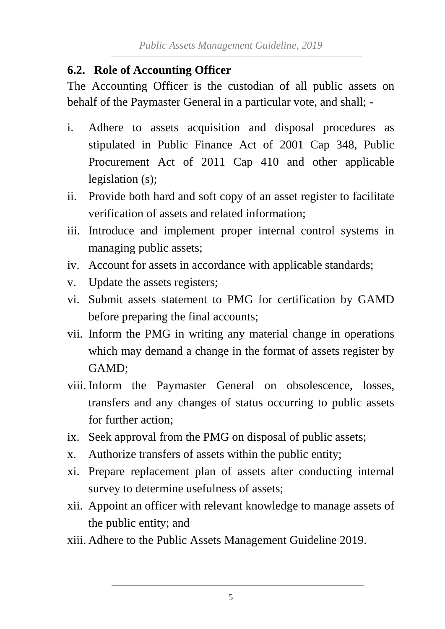#### <span id="page-17-0"></span>**6.2. Role of Accounting Officer**

The Accounting Officer is the custodian of all public assets on behalf of the Paymaster General in a particular vote, and shall; -

- i. Adhere to assets acquisition and disposal procedures as stipulated in Public Finance Act of 2001 Cap 348, Public Procurement Act of 2011 Cap 410 and other applicable legislation (s);
- ii. Provide both hard and soft copy of an asset register to facilitate verification of assets and related information;
- iii. Introduce and implement proper internal control systems in managing public assets;
- iv. Account for assets in accordance with applicable standards;
- v. Update the assets registers;
- vi. Submit assets statement to PMG for certification by GAMD before preparing the final accounts;
- vii. Inform the PMG in writing any material change in operations which may demand a change in the format of assets register by GAMD;
- viii. Inform the Paymaster General on obsolescence, losses, transfers and any changes of status occurring to public assets for further action;
- ix. Seek approval from the PMG on disposal of public assets;
- x. Authorize transfers of assets within the public entity;
- xi. Prepare replacement plan of assets after conducting internal survey to determine usefulness of assets;
- xii. Appoint an officer with relevant knowledge to manage assets of the public entity; and
- xiii. Adhere to the Public Assets Management Guideline 2019.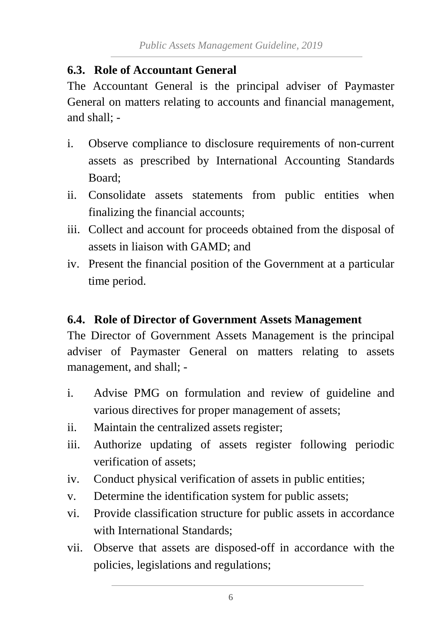#### <span id="page-18-0"></span>**6.3. Role of Accountant General**

The Accountant General is the principal adviser of Paymaster General on matters relating to accounts and financial management, and shall; -

- i. Observe compliance to disclosure requirements of non-current assets as prescribed by International Accounting Standards Board;
- ii. Consolidate assets statements from public entities when finalizing the financial accounts;
- iii. Collect and account for proceeds obtained from the disposal of assets in liaison with GAMD; and
- iv. Present the financial position of the Government at a particular time period.

#### <span id="page-18-1"></span>**6.4. Role of Director of Government Assets Management**

The Director of Government Assets Management is the principal adviser of Paymaster General on matters relating to assets management, and shall; -

- i. Advise PMG on formulation and review of guideline and various directives for proper management of assets;
- ii. Maintain the centralized assets register;
- iii. Authorize updating of assets register following periodic verification of assets;
- iv. Conduct physical verification of assets in public entities;
- v. Determine the identification system for public assets;
- vi. Provide classification structure for public assets in accordance with International Standards;
- vii. Observe that assets are disposed-off in accordance with the policies, legislations and regulations;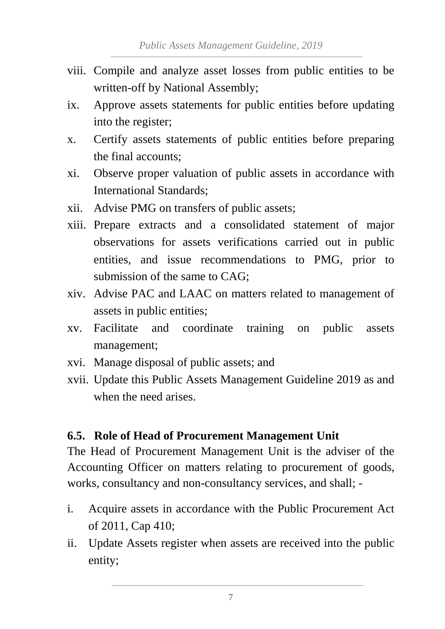- viii. Compile and analyze asset losses from public entities to be written-off by National Assembly;
- ix. Approve assets statements for public entities before updating into the register;
- x. Certify assets statements of public entities before preparing the final accounts;
- xi. Observe proper valuation of public assets in accordance with International Standards;
- xii. Advise PMG on transfers of public assets;
- xiii. Prepare extracts and a consolidated statement of major observations for assets verifications carried out in public entities, and issue recommendations to PMG, prior to submission of the same to CAG;
- xiv. Advise PAC and LAAC on matters related to management of assets in public entities;
- xv. Facilitate and coordinate training on public assets management;
- xvi. Manage disposal of public assets; and
- xvii. Update this Public Assets Management Guideline 2019 as and when the need arises.

#### <span id="page-19-0"></span>**6.5. Role of Head of Procurement Management Unit**

The Head of Procurement Management Unit is the adviser of the Accounting Officer on matters relating to procurement of goods, works, consultancy and non-consultancy services, and shall; -

- i. Acquire assets in accordance with the Public Procurement Act of 2011, Cap 410;
- ii. Update Assets register when assets are received into the public entity;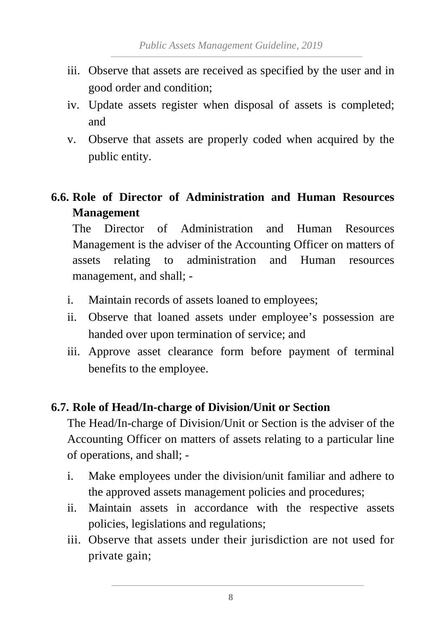- iii. Observe that assets are received as specified by the user and in good order and condition;
- iv. Update assets register when disposal of assets is completed; and
- v. Observe that assets are properly coded when acquired by the public entity.

## <span id="page-20-0"></span>**6.6. Role of Director of Administration and Human Resources Management**

The Director of Administration and Human Resources Management is the adviser of the Accounting Officer on matters of assets relating to administration and Human resources management, and shall; -

- i. Maintain records of assets loaned to employees;
- ii. Observe that loaned assets under employee's possession are handed over upon termination of service; and
- iii. Approve asset clearance form before payment of terminal benefits to the employee.

#### <span id="page-20-1"></span>**6.7. Role of Head/In-charge of Division/Unit or Section**

The Head/In-charge of Division/Unit or Section is the adviser of the Accounting Officer on matters of assets relating to a particular line of operations, and shall; -

- i. Make employees under the division/unit familiar and adhere to the approved assets management policies and procedures;
- ii. Maintain assets in accordance with the respective assets policies, legislations and regulations;
- iii. Observe that assets under their jurisdiction are not used for private gain;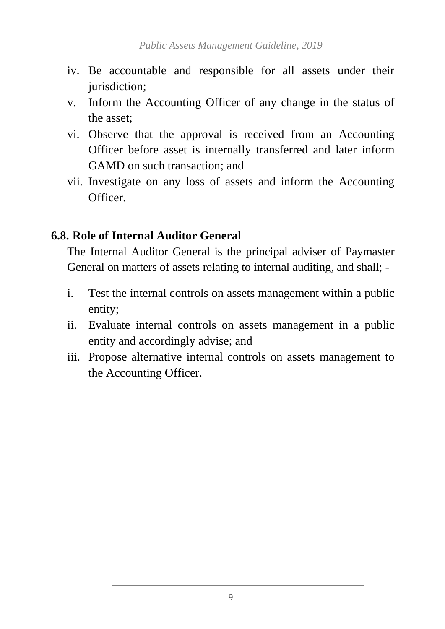- iv. Be accountable and responsible for all assets under their jurisdiction;
- v. Inform the Accounting Officer of any change in the status of the asset;
- vi. Observe that the approval is received from an Accounting Officer before asset is internally transferred and later inform GAMD on such transaction; and
- vii. Investigate on any loss of assets and inform the Accounting Officer.

#### <span id="page-21-0"></span>**6.8. Role of Internal Auditor General**

The Internal Auditor General is the principal adviser of Paymaster General on matters of assets relating to internal auditing, and shall; -

- i. Test the internal controls on assets management within a public entity;
- ii. Evaluate internal controls on assets management in a public entity and accordingly advise; and
- iii. Propose alternative internal controls on assets management to the Accounting Officer.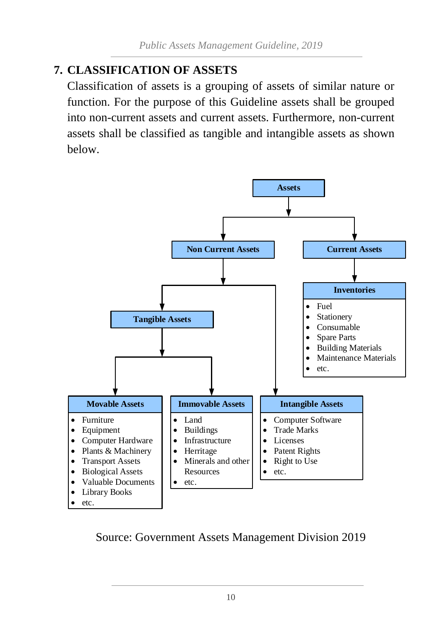## <span id="page-22-0"></span>**7. CLASSIFICATION OF ASSETS**

Classification of assets is a grouping of assets of similar nature or function. For the purpose of this Guideline assets shall be grouped into non-current assets and current assets. Furthermore, non-current assets shall be classified as tangible and intangible assets as shown below.



![](_page_22_Figure_4.jpeg)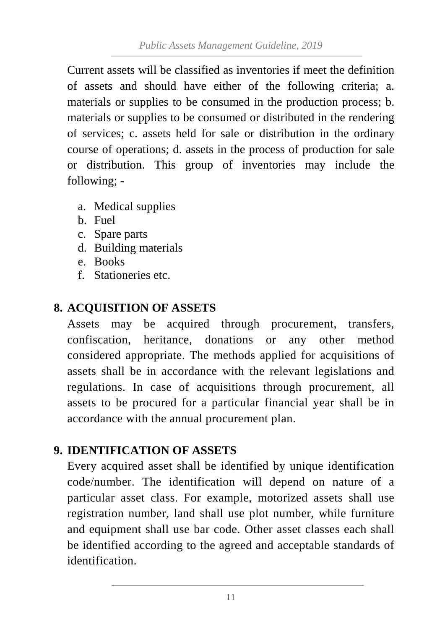Current assets will be classified as inventories if meet the definition of assets and should have either of the following criteria; a. materials or supplies to be consumed in the production process; b. materials or supplies to be consumed or distributed in the rendering of services; c. assets held for sale or distribution in the ordinary course of operations; d. assets in the process of production for sale or distribution. This group of inventories may include the following; -

- a. Medical supplies
- b. Fuel
- c. Spare parts
- d. Building materials
- e. Books
- f. Stationeries etc.

#### <span id="page-23-0"></span>**8. ACQUISITION OF ASSETS**

Assets may be acquired through procurement, transfers, confiscation, heritance, donations or any other method considered appropriate. The methods applied for acquisitions of assets shall be in accordance with the relevant legislations and regulations. In case of acquisitions through procurement, all assets to be procured for a particular financial year shall be in accordance with the annual procurement plan.

#### <span id="page-23-1"></span>**9. IDENTIFICATION OF ASSETS**

Every acquired asset shall be identified by unique identification code/number. The identification will depend on nature of a particular asset class. For example, motorized assets shall use registration number, land shall use plot number, while furniture and equipment shall use bar code. Other asset classes each shall be identified according to the agreed and acceptable standards of identification.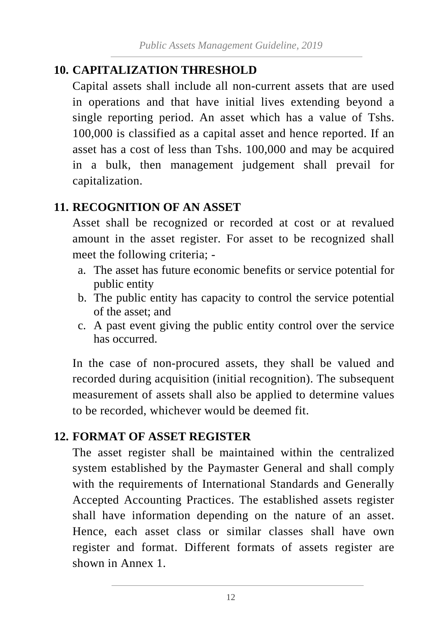## <span id="page-24-0"></span>**10. CAPITALIZATION THRESHOLD**

Capital assets shall include all non-current assets that are used in operations and that have initial lives extending beyond a single reporting period. An asset which has a value of Tshs. 100,000 is classified as a capital asset and hence reported. If an asset has a cost of less than Tshs. 100,000 and may be acquired in a bulk, then management judgement shall prevail for capitalization.

#### <span id="page-24-1"></span>**11. RECOGNITION OF AN ASSET**

Asset shall be recognized or recorded at cost or at revalued amount in the asset register. For asset to be recognized shall meet the following criteria; -

- a. The asset has future economic benefits or service potential for public entity
- b. The public entity has capacity to control the service potential of the asset; and
- c. A past event giving the public entity control over the service has occurred.

In the case of non-procured assets, they shall be valued and recorded during acquisition (initial recognition). The subsequent measurement of assets shall also be applied to determine values to be recorded, whichever would be deemed fit.

#### <span id="page-24-2"></span>**12. FORMAT OF ASSET REGISTER**

The asset register shall be maintained within the centralized system established by the Paymaster General and shall comply with the requirements of International Standards and Generally Accepted Accounting Practices. The established assets register shall have information depending on the nature of an asset. Hence, each asset class or similar classes shall have own register and format. Different formats of assets register are shown in Annex 1.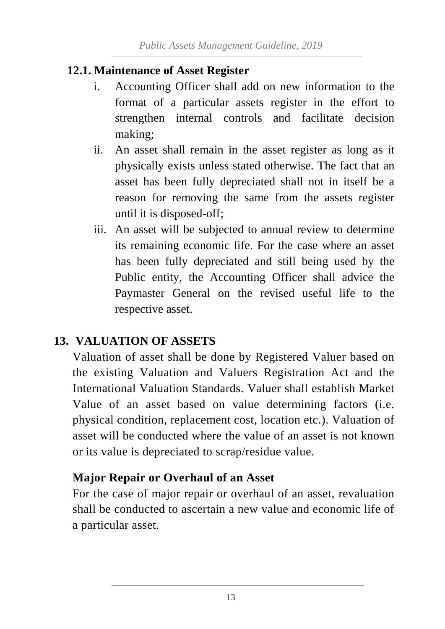#### <span id="page-25-0"></span>**12.1. Maintenance of Asset Register**

- i. Accounting Officer shall add on new information to the format of a particular assets register in the effort to strengthen internal controls and facilitate decision making;
- ii. An asset shall remain in the asset register as long as it physically exists unless stated otherwise. The fact that an asset has been fully depreciated shall not in itself be a reason for removing the same from the assets register until it is disposed-off;
- iii. An asset will be subjected to annual review to determine its remaining economic life. For the case where an asset has been fully depreciated and still being used by the Public entity, the Accounting Officer shall advice the Paymaster General on the revised useful life to the respective asset.

#### **13. VALUATION OF ASSETS**

<span id="page-25-1"></span>Valuation of asset shall be done by Registered Valuer based on the existing Valuation and Valuers Registration Act and the International Valuation Standards. Valuer shall establish Market Value of an asset based on value determining factors (i.e. physical condition, replacement cost, location etc.). Valuation of asset will be conducted where the value of an asset is not known or its value is depreciated to scrap/residue value.

#### **Major Repair or Overhaul of an Asset**

For the case of major repair or overhaul of an asset, revaluation shall be conducted to ascertain a new value and economic life of a particular asset.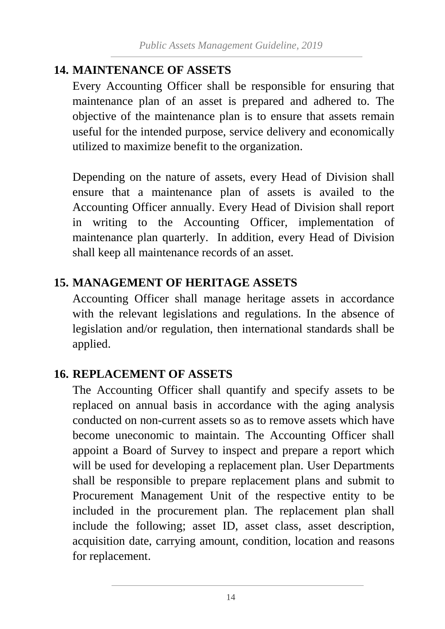#### <span id="page-26-0"></span>**14. MAINTENANCE OF ASSETS**

Every Accounting Officer shall be responsible for ensuring that maintenance plan of an asset is prepared and adhered to. The objective of the maintenance plan is to ensure that assets remain useful for the intended purpose, service delivery and economically utilized to maximize benefit to the organization.

Depending on the nature of assets, every Head of Division shall ensure that a maintenance plan of assets is availed to the Accounting Officer annually. Every Head of Division shall report in writing to the Accounting Officer, implementation of maintenance plan quarterly. In addition, every Head of Division shall keep all maintenance records of an asset.

#### <span id="page-26-1"></span>**15. MANAGEMENT OF HERITAGE ASSETS**

Accounting Officer shall manage heritage assets in accordance with the relevant legislations and regulations. In the absence of legislation and/or regulation, then international standards shall be applied.

#### <span id="page-26-2"></span>**16. REPLACEMENT OF ASSETS**

The Accounting Officer shall quantify and specify assets to be replaced on annual basis in accordance with the aging analysis conducted on non-current assets so as to remove assets which have become uneconomic to maintain. The Accounting Officer shall appoint a Board of Survey to inspect and prepare a report which will be used for developing a replacement plan. User Departments shall be responsible to prepare replacement plans and submit to Procurement Management Unit of the respective entity to be included in the procurement plan. The replacement plan shall include the following; asset ID, asset class, asset description, acquisition date, carrying amount, condition, location and reasons for replacement.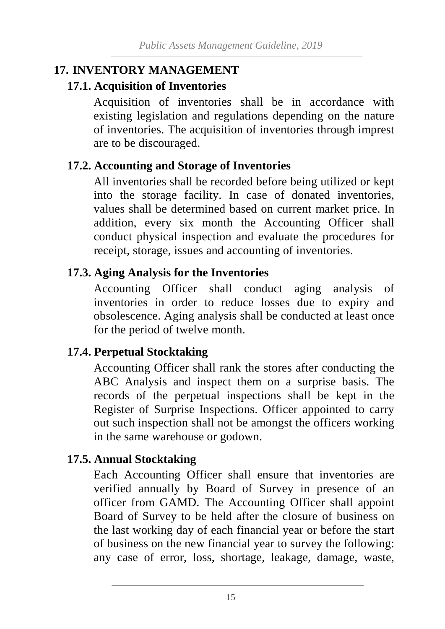#### <span id="page-27-0"></span>**17. INVENTORY MANAGEMENT**

#### <span id="page-27-1"></span>**17.1. Acquisition of Inventories**

Acquisition of inventories shall be in accordance with existing legislation and regulations depending on the nature of inventories. The acquisition of inventories through imprest are to be discouraged.

#### <span id="page-27-2"></span>**17.2. Accounting and Storage of Inventories**

All inventories shall be recorded before being utilized or kept into the storage facility. In case of donated inventories, values shall be determined based on current market price. In addition, every six month the Accounting Officer shall conduct physical inspection and evaluate the procedures for receipt, storage, issues and accounting of inventories.

#### <span id="page-27-3"></span>**17.3. Aging Analysis for the Inventories**

Accounting Officer shall conduct aging analysis of inventories in order to reduce losses due to expiry and obsolescence. Aging analysis shall be conducted at least once for the period of twelve month.

#### <span id="page-27-4"></span>**17.4. Perpetual Stocktaking**

Accounting Officer shall rank the stores after conducting the ABC Analysis and inspect them on a surprise basis. The records of the perpetual inspections shall be kept in the Register of Surprise Inspections. Officer appointed to carry out such inspection shall not be amongst the officers working in the same warehouse or godown.

#### <span id="page-27-5"></span>**17.5. Annual Stocktaking**

Each Accounting Officer shall ensure that inventories are verified annually by Board of Survey in presence of an officer from GAMD. The Accounting Officer shall appoint Board of Survey to be held after the closure of business on the last working day of each financial year or before the start of business on the new financial year to survey the following: any case of error, loss, shortage, leakage, damage, waste,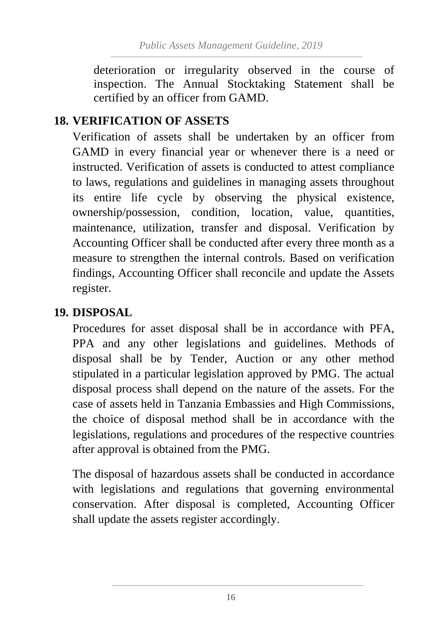deterioration or irregularity observed in the course of inspection. The Annual Stocktaking Statement shall be certified by an officer from GAMD.

#### <span id="page-28-0"></span>**18. VERIFICATION OF ASSETS**

Verification of assets shall be undertaken by an officer from GAMD in every financial year or whenever there is a need or instructed. Verification of assets is conducted to attest compliance to laws, regulations and guidelines in managing assets throughout its entire life cycle by observing the physical existence, ownership/possession, condition, location, value, quantities, maintenance, utilization, transfer and disposal. Verification by Accounting Officer shall be conducted after every three month as a measure to strengthen the internal controls. Based on verification findings, Accounting Officer shall reconcile and update the Assets register.

#### <span id="page-28-1"></span>**19. DISPOSAL**

Procedures for asset disposal shall be in accordance with PFA, PPA and any other legislations and guidelines. Methods of disposal shall be by Tender, Auction or any other method stipulated in a particular legislation approved by PMG. The actual disposal process shall depend on the nature of the assets. For the case of assets held in Tanzania Embassies and High Commissions, the choice of disposal method shall be in accordance with the legislations, regulations and procedures of the respective countries after approval is obtained from the PMG.

The disposal of hazardous assets shall be conducted in accordance with legislations and regulations that governing environmental conservation. After disposal is completed, Accounting Officer shall update the assets register accordingly.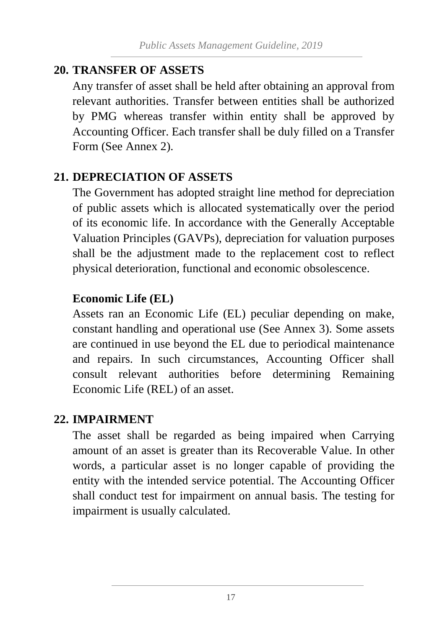#### <span id="page-29-0"></span>**20. TRANSFER OF ASSETS**

Any transfer of asset shall be held after obtaining an approval from relevant authorities. Transfer between entities shall be authorized by PMG whereas transfer within entity shall be approved by Accounting Officer. Each transfer shall be duly filled on a Transfer Form (See Annex 2).

#### <span id="page-29-1"></span>**21. DEPRECIATION OF ASSETS**

The Government has adopted straight line method for depreciation of public assets which is allocated systematically over the period of its economic life. In accordance with the Generally Acceptable Valuation Principles (GAVPs), depreciation for valuation purposes shall be the adjustment made to the replacement cost to reflect physical deterioration, functional and economic obsolescence.

#### **Economic Life (EL)**

Assets ran an Economic Life (EL) peculiar depending on make, constant handling and operational use (See Annex 3). Some assets are continued in use beyond the EL due to periodical maintenance and repairs. In such circumstances, Accounting Officer shall consult relevant authorities before determining Remaining Economic Life (REL) of an asset.

#### <span id="page-29-2"></span>**22. IMPAIRMENT**

The asset shall be regarded as being impaired when Carrying amount of an asset is greater than its Recoverable Value. In other words, a particular asset is no longer capable of providing the entity with the intended service potential. The Accounting Officer shall conduct test for impairment on annual basis. The testing for impairment is usually calculated.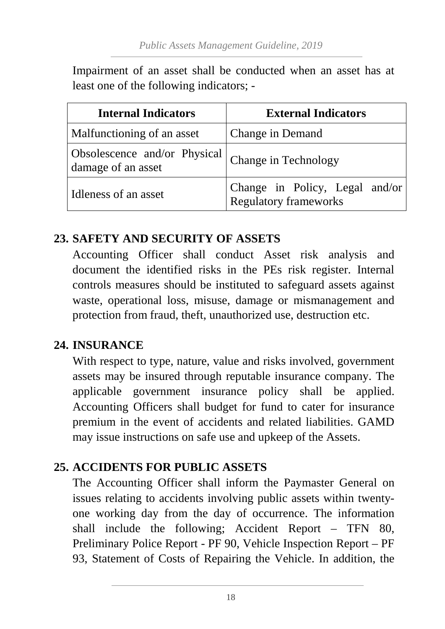Impairment of an asset shall be conducted when an asset has at least one of the following indicators; -

| <b>Internal Indicators</b>                           | <b>External Indicators</b>                                     |
|------------------------------------------------------|----------------------------------------------------------------|
| Malfunctioning of an asset                           | Change in Demand                                               |
| Obsolescence and/or Physical  <br>damage of an asset | Change in Technology                                           |
| Idleness of an asset                                 | Change in Policy, Legal and/or<br><b>Regulatory frameworks</b> |

#### <span id="page-30-0"></span>**23. SAFETY AND SECURITY OF ASSETS**

Accounting Officer shall conduct Asset risk analysis and document the identified risks in the PEs risk register. Internal controls measures should be instituted to safeguard assets against waste, operational loss, misuse, damage or mismanagement and protection from fraud, theft, unauthorized use, destruction etc.

#### <span id="page-30-1"></span>**24. INSURANCE**

With respect to type, nature, value and risks involved, government assets may be insured through reputable insurance company. The applicable government insurance policy shall be applied. Accounting Officers shall budget for fund to cater for insurance premium in the event of accidents and related liabilities. GAMD may issue instructions on safe use and upkeep of the Assets.

#### <span id="page-30-2"></span>**25. ACCIDENTS FOR PUBLIC ASSETS**

The Accounting Officer shall inform the Paymaster General on issues relating to accidents involving public assets within twentyone working day from the day of occurrence. The information shall include the following; Accident Report – TFN 80, Preliminary Police Report - PF 90, Vehicle Inspection Report – PF 93, Statement of Costs of Repairing the Vehicle. In addition, the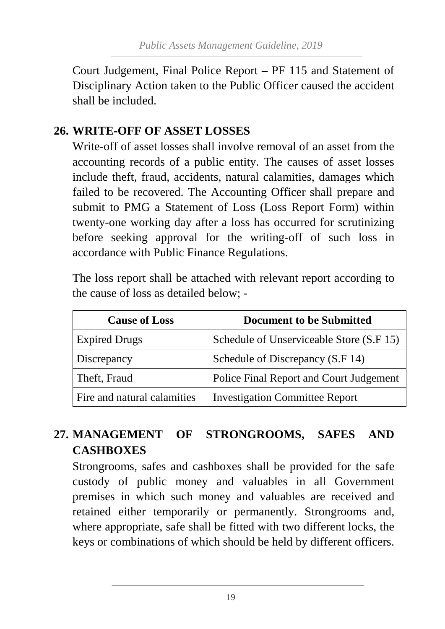Court Judgement, Final Police Report – PF 115 and Statement of Disciplinary Action taken to the Public Officer caused the accident shall be included.

#### <span id="page-31-0"></span>**26. WRITE-OFF OF ASSET LOSSES**

Write-off of asset losses shall involve removal of an asset from the accounting records of a public entity. The causes of asset losses include theft, fraud, accidents, natural calamities, damages which failed to be recovered. The Accounting Officer shall prepare and submit to PMG a Statement of Loss (Loss Report Form) within twenty-one working day after a loss has occurred for scrutinizing before seeking approval for the writing-off of such loss in accordance with Public Finance Regulations.

The loss report shall be attached with relevant report according to the cause of loss as detailed below; -

| <b>Cause of Loss</b>        | <b>Document to be Submitted</b>          |
|-----------------------------|------------------------------------------|
| <b>Expired Drugs</b>        | Schedule of Unserviceable Store (S.F 15) |
| Discrepancy                 | Schedule of Discrepancy (S.F 14)         |
| Theft, Fraud                | Police Final Report and Court Judgement  |
| Fire and natural calamities | <b>Investigation Committee Report</b>    |

# <span id="page-31-1"></span>**27. MANAGEMENT OF STRONGROOMS, SAFES AND CASHBOXES**

Strongrooms, safes and cashboxes shall be provided for the safe custody of public money and valuables in all Government premises in which such money and valuables are received and retained either temporarily or permanently. Strongrooms and, where appropriate, safe shall be fitted with two different locks, the keys or combinations of which should be held by different officers.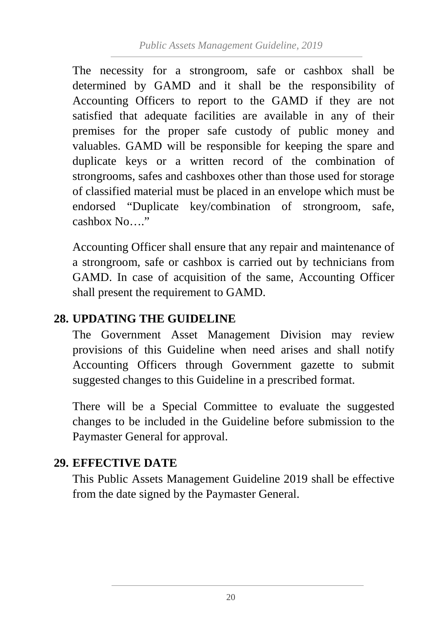The necessity for a strongroom, safe or cashbox shall be determined by GAMD and it shall be the responsibility of Accounting Officers to report to the GAMD if they are not satisfied that adequate facilities are available in any of their premises for the proper safe custody of public money and valuables. GAMD will be responsible for keeping the spare and duplicate keys or a written record of the combination of strongrooms, safes and cashboxes other than those used for storage of classified material must be placed in an envelope which must be endorsed "Duplicate key/combination of strongroom, safe, cashbox No…."

Accounting Officer shall ensure that any repair and maintenance of a strongroom, safe or cashbox is carried out by technicians from GAMD. In case of acquisition of the same, Accounting Officer shall present the requirement to GAMD.

#### <span id="page-32-0"></span>**28. UPDATING THE GUIDELINE**

The Government Asset Management Division may review provisions of this Guideline when need arises and shall notify Accounting Officers through Government gazette to submit suggested changes to this Guideline in a prescribed format.

There will be a Special Committee to evaluate the suggested changes to be included in the Guideline before submission to the Paymaster General for approval.

#### <span id="page-32-1"></span>**29. EFFECTIVE DATE**

This Public Assets Management Guideline 2019 shall be effective from the date signed by the Paymaster General.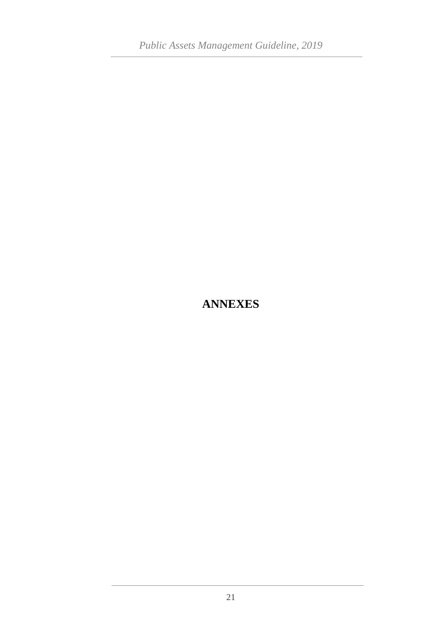## <span id="page-33-0"></span>**ANNEXES**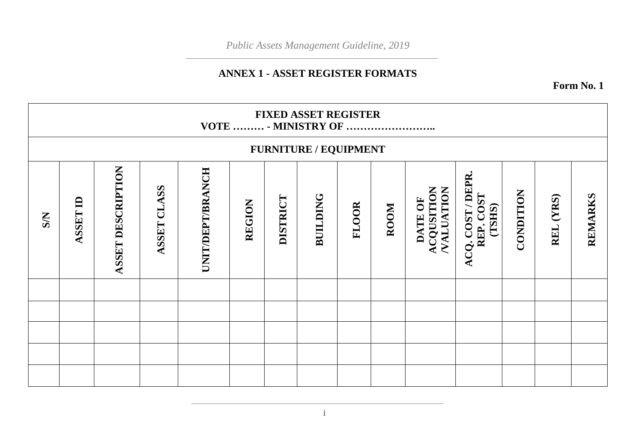#### **ANNEX 1 - ASSET REGISTER FORMATS**

**Form No. 1**

|            | <b>FIXED ASSET REGISTER</b><br>VOTE  - MINISTRY OF |                   |             |                  |               |                 |                 |              |      |                                    |                                          |           |           |         |
|------------|----------------------------------------------------|-------------------|-------------|------------------|---------------|-----------------|-----------------|--------------|------|------------------------------------|------------------------------------------|-----------|-----------|---------|
|            | FURNITURE / EQUIPMENT                              |                   |             |                  |               |                 |                 |              |      |                                    |                                          |           |           |         |
| <b>S/N</b> | <b>ASSET ID</b>                                    | ASSET DESCRIPTION | ASSET CLASS | UNIT/DEPT/BRANCH | <b>REGION</b> | <b>DISTRICT</b> | <b>BUILDING</b> | <b>FLOOR</b> | ROOM | ACQUSITION<br>VALUATION<br>DATE OF | ACQ. COST / DEPR.<br>REP. COST<br>(TSHS) | CONDITION | REL (YRS) | REMARKS |
|            |                                                    |                   |             |                  |               |                 |                 |              |      |                                    |                                          |           |           |         |
|            |                                                    |                   |             |                  |               |                 |                 |              |      |                                    |                                          |           |           |         |
|            |                                                    |                   |             |                  |               |                 |                 |              |      |                                    |                                          |           |           |         |
|            |                                                    |                   |             |                  |               |                 |                 |              |      |                                    |                                          |           |           |         |
|            |                                                    |                   |             |                  |               |                 |                 |              |      |                                    |                                          |           |           |         |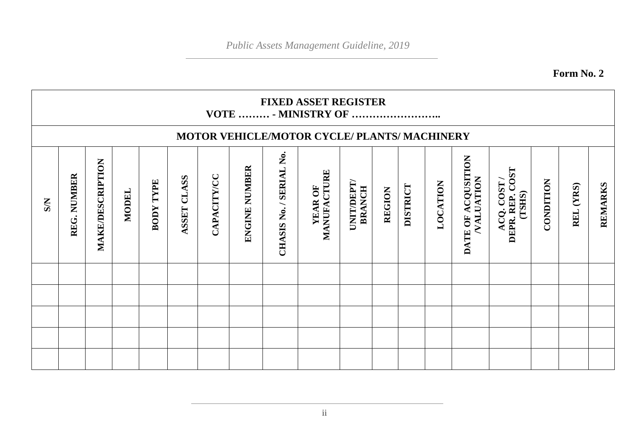**Form No. 2**

|           | <b>FIXED ASSET REGISTER</b><br>VOTE  - MINISTRY OF |                  |              |                     |                |             |               |                         |                        |                             |               |                 |          |                                        |                                          |           |              |         |
|-----------|----------------------------------------------------|------------------|--------------|---------------------|----------------|-------------|---------------|-------------------------|------------------------|-----------------------------|---------------|-----------------|----------|----------------------------------------|------------------------------------------|-----------|--------------|---------|
|           | MOTOR VEHICLE/MOTOR CYCLE/ PLANTS/ MACHINERY       |                  |              |                     |                |             |               |                         |                        |                             |               |                 |          |                                        |                                          |           |              |         |
| <b>SN</b> | NUMBER<br>REG.                                     | MAKE/DESCRIPTION | <b>MODEL</b> | TYPE<br><b>BODY</b> | CLASS<br>ASSET | CAPACITY/CC | ENGINE NUMBER | CHASIS No. / SERIAL No. | MANUFACTURE<br>YEAR OF | UNIT/DEPT/<br><b>BRANCH</b> | <b>REGION</b> | <b>DISTRICT</b> | LOCATION | DATE OF ACQUSITION<br><b>VALUATION</b> | ACQ. COST /<br>DEPR. REP. COST<br>(TSHS) | CONDITION | (YRS)<br>REL | REMARKS |
|           |                                                    |                  |              |                     |                |             |               |                         |                        |                             |               |                 |          |                                        |                                          |           |              |         |
|           |                                                    |                  |              |                     |                |             |               |                         |                        |                             |               |                 |          |                                        |                                          |           |              |         |
|           |                                                    |                  |              |                     |                |             |               |                         |                        |                             |               |                 |          |                                        |                                          |           |              |         |
|           |                                                    |                  |              |                     |                |             |               |                         |                        |                             |               |                 |          |                                        |                                          |           |              |         |
|           |                                                    |                  |              |                     |                |             |               |                         |                        |                             |               |                 |          |                                        |                                          |           |              |         |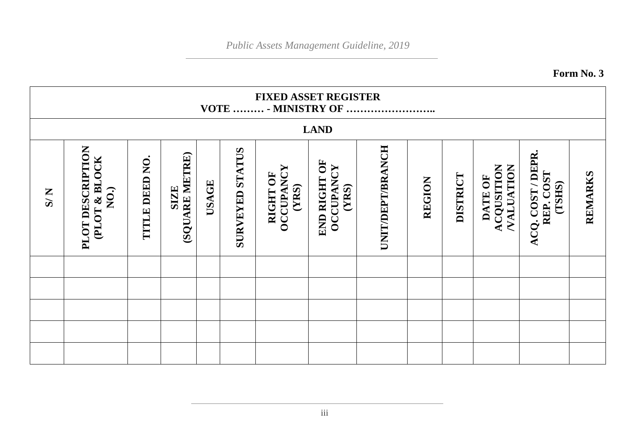**Form No. 3**

|                             | <b>FIXED ASSET REGISTER</b><br>VOTE  - MINISTRY OF |                |                               |       |                        |                                       |                                           |                         |        |          |                                    |                                          |         |
|-----------------------------|----------------------------------------------------|----------------|-------------------------------|-------|------------------------|---------------------------------------|-------------------------------------------|-------------------------|--------|----------|------------------------------------|------------------------------------------|---------|
|                             |                                                    |                |                               |       |                        |                                       | <b>LAND</b>                               |                         |        |          |                                    |                                          |         |
| $\overline{S}/\overline{S}$ | PLOT DESCRIPTION<br>(PLOT & BLOCK<br>NO.           | TITLE DEED NO. | (SQUARE METRE)<br><b>SIZE</b> | USAGE | <b>SURVEYED STATUS</b> | <b>OCCUPANCY</b><br>RIGHT OF<br>(YRS) | END RIGHT OF<br><b>OCCUPANCY</b><br>(YRS) | <b>UNIT/DEPT/BRANCH</b> | REGION | DISTRICT | ACQUSITION<br>NALUATION<br>DATE OF | ACQ. COST / DEPR.<br>REP. COST<br>(TSHS) | REMARKS |
|                             |                                                    |                |                               |       |                        |                                       |                                           |                         |        |          |                                    |                                          |         |
|                             |                                                    |                |                               |       |                        |                                       |                                           |                         |        |          |                                    |                                          |         |
|                             |                                                    |                |                               |       |                        |                                       |                                           |                         |        |          |                                    |                                          |         |
|                             |                                                    |                |                               |       |                        |                                       |                                           |                         |        |          |                                    |                                          |         |
|                             |                                                    |                |                               |       |                        |                                       |                                           |                         |        |          |                                    |                                          |         |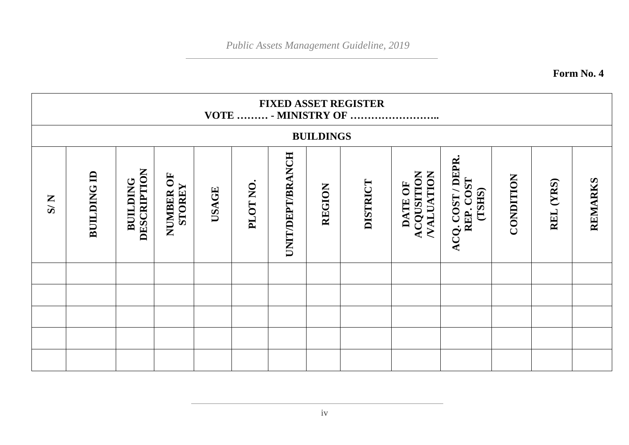**Form No. 4**

|     | <b>FIXED ASSET REGISTER</b><br>VOTE  - MINISTRY OF |                                |                            |              |          |                  |                  |          |                                           |                                        |           |              |         |
|-----|----------------------------------------------------|--------------------------------|----------------------------|--------------|----------|------------------|------------------|----------|-------------------------------------------|----------------------------------------|-----------|--------------|---------|
|     |                                                    |                                |                            |              |          |                  | <b>BUILDINGS</b> |          |                                           |                                        |           |              |         |
| N/5 | <b>BUILDING ID</b>                                 | DESCRIPTION<br><b>BUILDING</b> | NUMBER OF<br><b>STOREY</b> | <b>USAGE</b> | PLOT NO. | UNIT/DEPT/BRANCH | REGION           | DISTRICT | ACQUSITION<br><b>NALUATION</b><br>DATE OF | ACQ. COST/DEPR.<br>REP. COST<br>(TSHS) | CONDITION | (YRS)<br>REL | REMARKS |
|     |                                                    |                                |                            |              |          |                  |                  |          |                                           |                                        |           |              |         |
|     |                                                    |                                |                            |              |          |                  |                  |          |                                           |                                        |           |              |         |
|     |                                                    |                                |                            |              |          |                  |                  |          |                                           |                                        |           |              |         |
|     |                                                    |                                |                            |              |          |                  |                  |          |                                           |                                        |           |              |         |
|     |                                                    |                                |                            |              |          |                  |                  |          |                                           |                                        |           |              |         |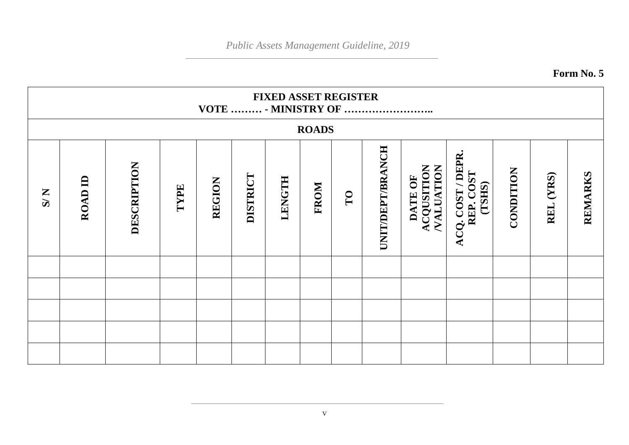**Form No. 5**

|                             | <b>FIXED ASSET REGISTER</b><br>VOTE  - MINISTRY OF |             |      |               |          |        |      |    |                         |                                                  |                                        |           |              |         |
|-----------------------------|----------------------------------------------------|-------------|------|---------------|----------|--------|------|----|-------------------------|--------------------------------------------------|----------------------------------------|-----------|--------------|---------|
|                             | <b>ROADS</b>                                       |             |      |               |          |        |      |    |                         |                                                  |                                        |           |              |         |
| $\overline{S}/\overline{S}$ | ROAD ID                                            | DESCRIPTION | TYPE | <b>REGION</b> | DISTRICT | LENGTH | FROM | TO | <b>UNIT/DEPT/BRANCH</b> | <b>ACQUSITION</b><br><b>NALUATION</b><br>DATE OF | ACQ. COST/DEPR.<br>REP. COST<br>(TSHS) | CONDITION | (YRS)<br>REL | REMARKS |
|                             |                                                    |             |      |               |          |        |      |    |                         |                                                  |                                        |           |              |         |
|                             |                                                    |             |      |               |          |        |      |    |                         |                                                  |                                        |           |              |         |
|                             |                                                    |             |      |               |          |        |      |    |                         |                                                  |                                        |           |              |         |
|                             |                                                    |             |      |               |          |        |      |    |                         |                                                  |                                        |           |              |         |
|                             |                                                    |             |      |               |          |        |      |    |                         |                                                  |                                        |           |              |         |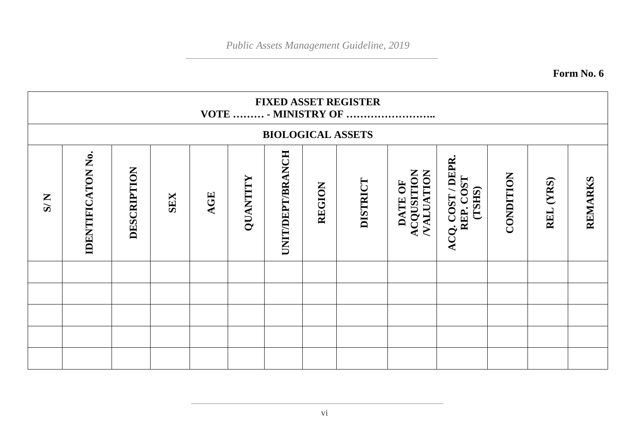**Form No. 6**

|     | <b>FIXED ASSET REGISTER</b><br>VOTE  - MINISTRY OF |             |            |     |          |                  |        |                          |                                           |                                          |           |              |         |
|-----|----------------------------------------------------|-------------|------------|-----|----------|------------------|--------|--------------------------|-------------------------------------------|------------------------------------------|-----------|--------------|---------|
|     |                                                    |             |            |     |          |                  |        | <b>BIOLOGICAL ASSETS</b> |                                           |                                          |           |              |         |
| N/S | <b>IDENTIFICATON No.</b>                           | DESCRIPTION | <b>SEX</b> | AGE | QUANTITY | UNIT/DEPT/BRANCH | REGION | DISTRICT                 | <b>NALUATION</b><br>ACQUSITION<br>DATE OF | ACQ. COST / DEPR.<br>REP. COST<br>(TSHS) | CONDITION | (YRS)<br>REL | REMARKS |
|     |                                                    |             |            |     |          |                  |        |                          |                                           |                                          |           |              |         |
|     |                                                    |             |            |     |          |                  |        |                          |                                           |                                          |           |              |         |
|     |                                                    |             |            |     |          |                  |        |                          |                                           |                                          |           |              |         |
|     |                                                    |             |            |     |          |                  |        |                          |                                           |                                          |           |              |         |
|     |                                                    |             |            |     |          |                  |        |                          |                                           |                                          |           |              |         |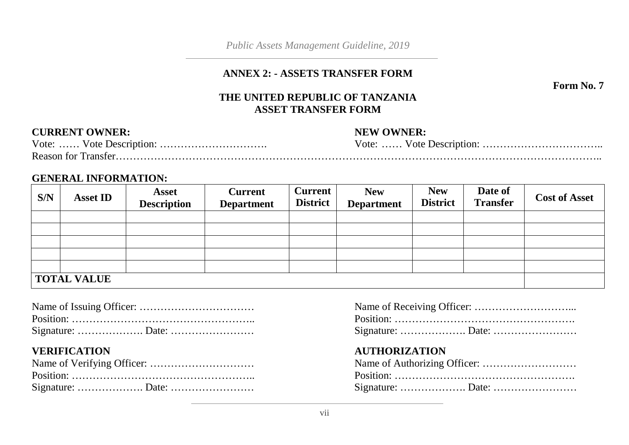#### **ANNEX 2: - ASSETS TRANSFER FORM**

**Form No. 7**

#### **THE UNITED REPUBLIC OF TANZANIA ASSET TRANSFER FORM**

#### **CURRENT OWNER:** NEW OWNER:

| <b>Reason for Transfer.</b> |  |
|-----------------------------|--|

#### **GENERAL INFORMATION:**

| S/N                | <b>Asset ID</b> | <b>Asset</b><br><b>Description</b> | <b>Current</b><br><b>Department</b> | <b>Current</b><br><b>District</b> | <b>New</b><br><b>Department</b> | <b>New</b><br><b>District</b> | Date of<br><b>Transfer</b> | <b>Cost of Asset</b> |
|--------------------|-----------------|------------------------------------|-------------------------------------|-----------------------------------|---------------------------------|-------------------------------|----------------------------|----------------------|
|                    |                 |                                    |                                     |                                   |                                 |                               |                            |                      |
|                    |                 |                                    |                                     |                                   |                                 |                               |                            |                      |
|                    |                 |                                    |                                     |                                   |                                 |                               |                            |                      |
|                    |                 |                                    |                                     |                                   |                                 |                               |                            |                      |
|                    |                 |                                    |                                     |                                   |                                 |                               |                            |                      |
| <b>TOTAL VALUE</b> |                 |                                    |                                     |                                   |                                 |                               |                            |                      |

#### **VERIFICATION AUTHORIZATION**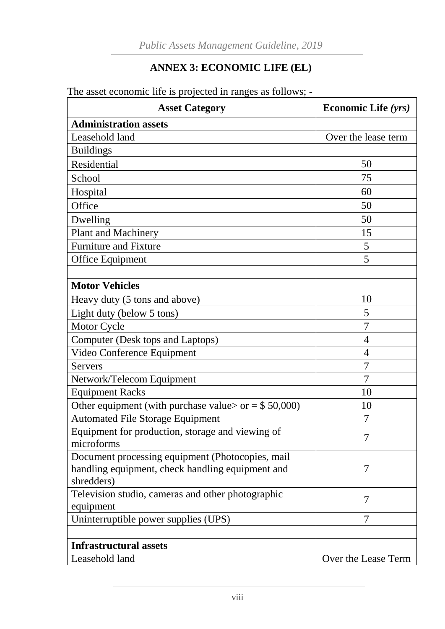#### **ANNEX 3: ECONOMIC LIFE (EL)**

The asset economic life is projected in ranges as follows; -

| <b>Asset Category</b>                                          | <b>Economic Life (yrs)</b> |  |
|----------------------------------------------------------------|----------------------------|--|
| <b>Administration assets</b>                                   |                            |  |
| Leasehold land                                                 | Over the lease term        |  |
| <b>Buildings</b>                                               |                            |  |
| Residential                                                    | 50                         |  |
| School                                                         | 75                         |  |
| Hospital                                                       | 60                         |  |
| Office                                                         | 50                         |  |
| Dwelling                                                       | 50                         |  |
| <b>Plant and Machinery</b>                                     | 15                         |  |
| <b>Furniture and Fixture</b>                                   | 5                          |  |
| Office Equipment                                               | 5                          |  |
|                                                                |                            |  |
| <b>Motor Vehicles</b>                                          |                            |  |
| Heavy duty (5 tons and above)                                  | 10                         |  |
| Light duty (below 5 tons)                                      | 5                          |  |
| Motor Cycle                                                    | 7                          |  |
| Computer (Desk tops and Laptops)                               | $\overline{4}$             |  |
| Video Conference Equipment                                     | $\overline{4}$             |  |
| <b>Servers</b>                                                 | 7                          |  |
| Network/Telecom Equipment                                      | 7                          |  |
| <b>Equipment Racks</b>                                         | 10                         |  |
| Other equipment (with purchase value> or = $$50,000$ )         | 10                         |  |
| <b>Automated File Storage Equipment</b>                        | 7                          |  |
| Equipment for production, storage and viewing of<br>microforms | 7                          |  |
| Document processing equipment (Photocopies, mail               |                            |  |
| handling equipment, check handling equipment and               | 7                          |  |
| shredders)                                                     |                            |  |
| Television studio, cameras and other photographic              | $\overline{7}$             |  |
| equipment                                                      | 7                          |  |
| Uninterruptible power supplies (UPS)                           |                            |  |
| <b>Infrastructural assets</b>                                  |                            |  |
| Leasehold land                                                 | Over the Lease Term        |  |
|                                                                |                            |  |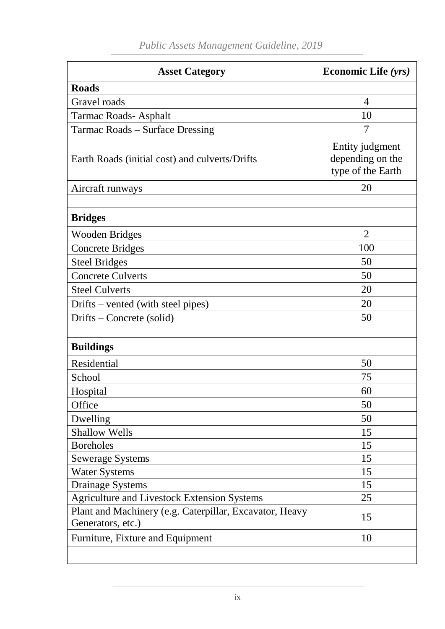| <b>Asset Category</b>                                                        | <b>Economic Life (yrs)</b>                               |
|------------------------------------------------------------------------------|----------------------------------------------------------|
| <b>Roads</b>                                                                 |                                                          |
| Gravel roads                                                                 | $\overline{4}$                                           |
| Tarmac Roads-Asphalt                                                         | 10                                                       |
| Tarmac Roads – Surface Dressing                                              | 7                                                        |
| Earth Roads (initial cost) and culverts/Drifts                               | Entity judgment<br>depending on the<br>type of the Earth |
| Aircraft runways                                                             | 20                                                       |
|                                                                              |                                                          |
| <b>Bridges</b>                                                               |                                                          |
| <b>Wooden Bridges</b>                                                        | $\overline{2}$                                           |
| <b>Concrete Bridges</b>                                                      | 100                                                      |
| <b>Steel Bridges</b>                                                         | 50                                                       |
| <b>Concrete Culverts</b>                                                     | 50                                                       |
| <b>Steel Culverts</b>                                                        | 20                                                       |
| Drifts – vented (with steel pipes)                                           | 20                                                       |
| Drifts – Concrete (solid)                                                    | 50                                                       |
|                                                                              |                                                          |
| <b>Buildings</b>                                                             |                                                          |
| Residential                                                                  | 50                                                       |
| School                                                                       | 75                                                       |
| Hospital                                                                     | 60                                                       |
| Office                                                                       | 50                                                       |
| Dwelling                                                                     | 50                                                       |
| <b>Shallow Wells</b>                                                         | 15                                                       |
| <b>Boreholes</b>                                                             | 15                                                       |
| <b>Sewerage Systems</b>                                                      | 15                                                       |
| <b>Water Systems</b>                                                         | 15                                                       |
| <b>Drainage Systems</b>                                                      | 15                                                       |
| <b>Agriculture and Livestock Extension Systems</b>                           | 25                                                       |
| Plant and Machinery (e.g. Caterpillar, Excavator, Heavy<br>Generators, etc.) | 15                                                       |
| Furniture, Fixture and Equipment                                             | 10                                                       |
|                                                                              |                                                          |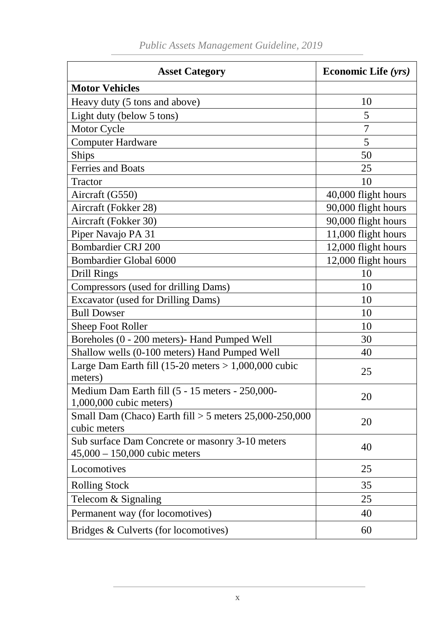| <b>Asset Category</b>                                                                      | <b>Economic Life (yrs)</b> |  |
|--------------------------------------------------------------------------------------------|----------------------------|--|
| <b>Motor Vehicles</b>                                                                      |                            |  |
| Heavy duty (5 tons and above)                                                              | 10                         |  |
| Light duty (below 5 tons)                                                                  | 5                          |  |
| Motor Cycle                                                                                | $\overline{7}$             |  |
| <b>Computer Hardware</b>                                                                   | 5                          |  |
| <b>Ships</b>                                                                               | 50                         |  |
| <b>Ferries and Boats</b>                                                                   | 25                         |  |
| Tractor                                                                                    | 10                         |  |
| Aircraft (G550)                                                                            | 40,000 flight hours        |  |
| Aircraft (Fokker 28)                                                                       | 90,000 flight hours        |  |
| Aircraft (Fokker 30)                                                                       | 90,000 flight hours        |  |
| Piper Navajo PA 31                                                                         | 11,000 flight hours        |  |
| <b>Bombardier CRJ 200</b>                                                                  | 12,000 flight hours        |  |
| Bombardier Global 6000                                                                     | 12,000 flight hours        |  |
| <b>Drill Rings</b>                                                                         | 10                         |  |
| Compressors (used for drilling Dams)                                                       | 10                         |  |
| <b>Excavator (used for Drilling Dams)</b>                                                  | 10                         |  |
| <b>Bull Dowser</b>                                                                         | 10                         |  |
| <b>Sheep Foot Roller</b>                                                                   | 10                         |  |
| Boreholes (0 - 200 meters) - Hand Pumped Well                                              | 30                         |  |
| Shallow wells (0-100 meters) Hand Pumped Well                                              | 40                         |  |
| Large Dam Earth fill $(15{\text -}20 \text{ meters} > 1,000,000 \text{ cubic})$<br>meters) | 25                         |  |
| Medium Dam Earth fill (5 - 15 meters - 250,000-<br>1,000,000 cubic meters)                 | 20                         |  |
| Small Dam (Chaco) Earth $\text{fill} > 5$ meters 25,000-250,000<br>cubic meters            | 20                         |  |
| Sub surface Dam Concrete or masonry 3-10 meters<br>$45,000 - 150,000$ cubic meters         | 40                         |  |
| Locomotives                                                                                | 25                         |  |
| <b>Rolling Stock</b>                                                                       | 35                         |  |
| Telecom & Signaling                                                                        | 25                         |  |
| Permanent way (for locomotives)                                                            | 40                         |  |
| Bridges & Culverts (for locomotives)                                                       | 60                         |  |